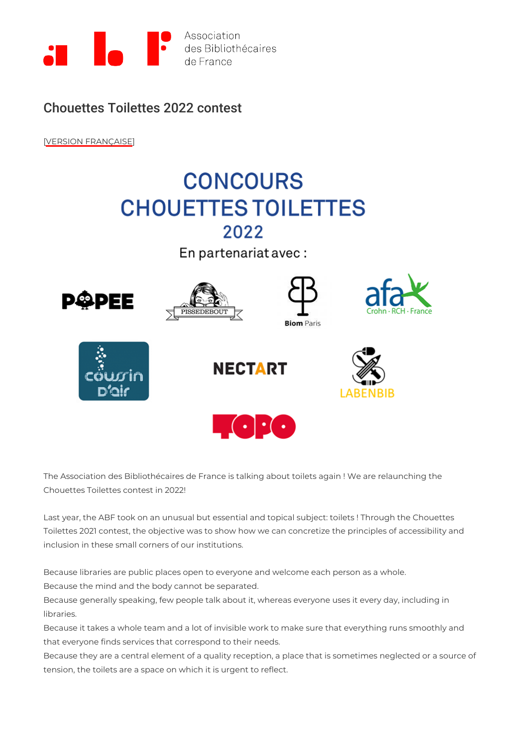## Chouettes Toilettes 2022 contest

[\[VERSION FRAN](https://www.abf.asso.fr/2/200/950/ABF/concours-chouettes-toilettes-2022)ÇAISE

The Association des Bibliothécaires de France is talking about toilets again ! We are Chouettes Toilettes contest in 2022!

Last year, the ABF took on an unusual but essential and topical subject: toilets ! Th Toilettes 2021 contest, the objective was to show how we can concretize the principl inclusion in these small corners of our institutions.

Because libraries are public places open to everyone and welcome each person as a Because the mind and the body cannot be separated.

Because generally speaking, few people talk about it, whereas everyone uses it ever libraries.

Because it takes a whole team and a lot of invisible work to make sure that everythin that everyone finds services that correspond to their needs.

Because they are a central element of a quality reception, a place that is sometimes tension, the toilets are a space on which it is urgent to reflect.